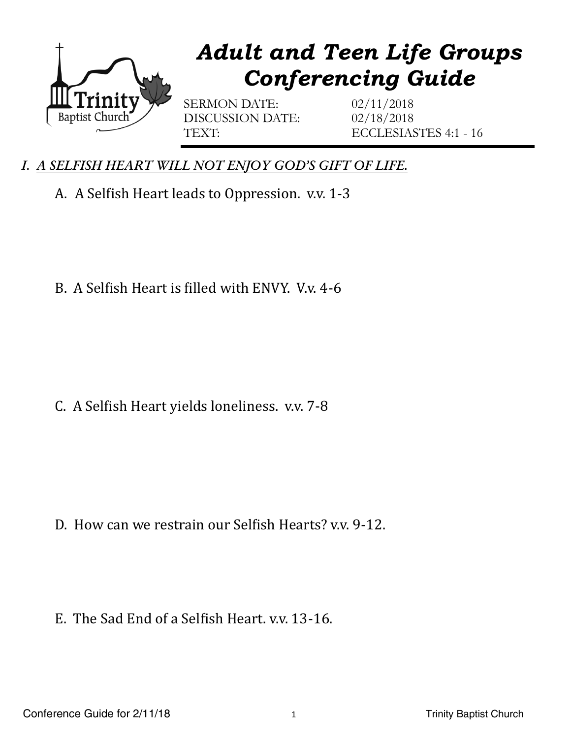

## *Adult and Teen Life Groups Conferencing Guide*

SERMON DATE: 02/11/2018 DISCUSSION DATE: 02/18/2018

TEXT: ECCLESIASTES 4:1 - 16

- *I. A SELFISH HEART WILL NOT ENJOY GOD'S GIFT OF LIFE.* 
	- A. A Selfish Heart leads to Oppression. v.v. 1-3

B. A Selfish Heart is filled with ENVY. V.v. 4-6

C. A Selfish Heart yields loneliness. v.v. 7-8

D. How can we restrain our Selfish Hearts? v.v. 9-12.

E. The Sad End of a Selfish Heart. v.v. 13-16.